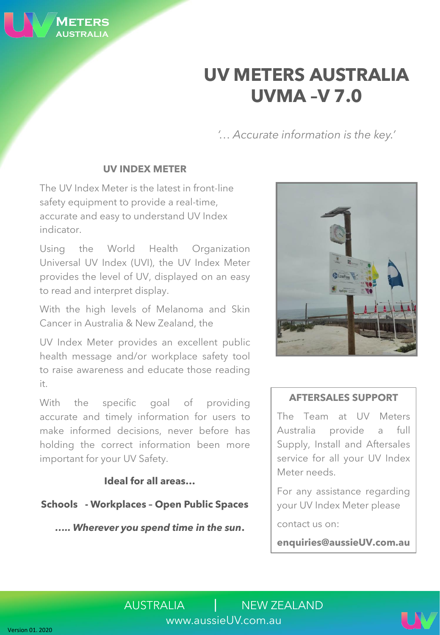**UV METERS AUSTRALIA UVMA –V 7.0**

*'… Accurate information is the key.'*

## **UV INDEX METER**

The UV Index Meter is the latest in front-line safety equipment to provide a real-time, accurate and easy to understand UV Index indicator.

Using the World Health Organization Universal UV Index (UVI), the UV Index Meter provides the level of UV, displayed on an easy to read and interpret display.

With the high levels of Melanoma and Skin Cancer in Australia & New Zealand, the

UV Index Meter provides an excellent public health message and/or workplace safety tool to raise awareness and educate those reading it.

With the specific goal of providing accurate and timely information for users to make informed decisions, never before has holding the correct information been more important for your UV Safety.

## **Ideal for all areas…**

**Schools - Workplaces – Open Public Spaces**

*….. Wherever you spend time in the sun***.**

### **AFTERSALES SUPPORT**

The Team at UV Meters Australia provide a full Supply, Install and Aftersales service for all your UV Index Meter needs.

For any assistance regarding your UV Index Meter please

contact us on:

**enquiries@aussieUV.com.au**